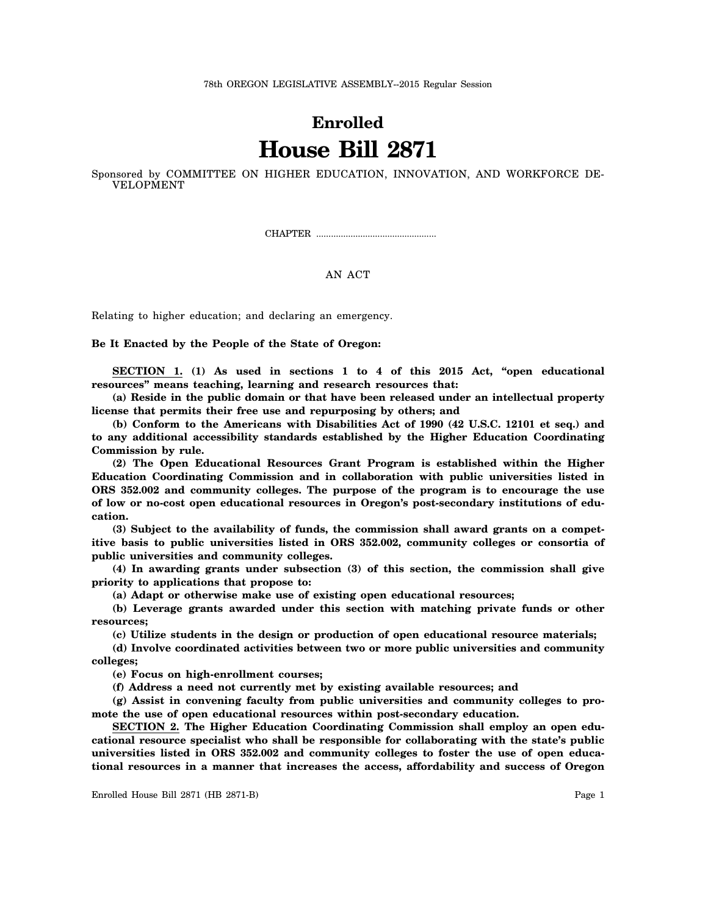## **Enrolled House Bill 2871**

Sponsored by COMMITTEE ON HIGHER EDUCATION, INNOVATION, AND WORKFORCE DE-VELOPMENT

CHAPTER .................................................

## AN ACT

Relating to higher education; and declaring an emergency.

**Be It Enacted by the People of the State of Oregon:**

**SECTION 1. (1) As used in sections 1 to 4 of this 2015 Act, "open educational resources" means teaching, learning and research resources that:**

**(a) Reside in the public domain or that have been released under an intellectual property license that permits their free use and repurposing by others; and**

**(b) Conform to the Americans with Disabilities Act of 1990 (42 U.S.C. 12101 et seq.) and to any additional accessibility standards established by the Higher Education Coordinating Commission by rule.**

**(2) The Open Educational Resources Grant Program is established within the Higher Education Coordinating Commission and in collaboration with public universities listed in ORS 352.002 and community colleges. The purpose of the program is to encourage the use of low or no-cost open educational resources in Oregon's post-secondary institutions of education.**

**(3) Subject to the availability of funds, the commission shall award grants on a competitive basis to public universities listed in ORS 352.002, community colleges or consortia of public universities and community colleges.**

**(4) In awarding grants under subsection (3) of this section, the commission shall give priority to applications that propose to:**

**(a) Adapt or otherwise make use of existing open educational resources;**

**(b) Leverage grants awarded under this section with matching private funds or other resources;**

**(c) Utilize students in the design or production of open educational resource materials;**

**(d) Involve coordinated activities between two or more public universities and community colleges;**

**(e) Focus on high-enrollment courses;**

**(f) Address a need not currently met by existing available resources; and**

**(g) Assist in convening faculty from public universities and community colleges to promote the use of open educational resources within post-secondary education.**

**SECTION 2. The Higher Education Coordinating Commission shall employ an open educational resource specialist who shall be responsible for collaborating with the state's public universities listed in ORS 352.002 and community colleges to foster the use of open educational resources in a manner that increases the access, affordability and success of Oregon**

Enrolled House Bill 2871 (HB 2871-B) Page 1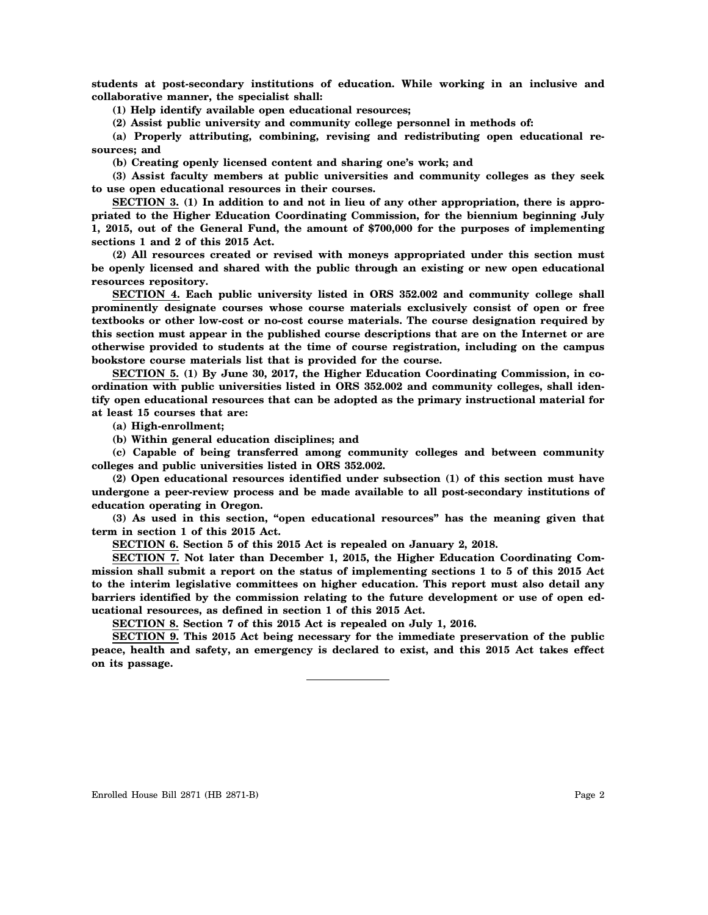**students at post-secondary institutions of education. While working in an inclusive and collaborative manner, the specialist shall:**

**(1) Help identify available open educational resources;**

**(2) Assist public university and community college personnel in methods of:**

**(a) Properly attributing, combining, revising and redistributing open educational resources; and**

**(b) Creating openly licensed content and sharing one's work; and**

**(3) Assist faculty members at public universities and community colleges as they seek to use open educational resources in their courses.**

**SECTION 3. (1) In addition to and not in lieu of any other appropriation, there is appropriated to the Higher Education Coordinating Commission, for the biennium beginning July 1, 2015, out of the General Fund, the amount of \$700,000 for the purposes of implementing sections 1 and 2 of this 2015 Act.**

**(2) All resources created or revised with moneys appropriated under this section must be openly licensed and shared with the public through an existing or new open educational resources repository.**

**SECTION 4. Each public university listed in ORS 352.002 and community college shall prominently designate courses whose course materials exclusively consist of open or free textbooks or other low-cost or no-cost course materials. The course designation required by this section must appear in the published course descriptions that are on the Internet or are otherwise provided to students at the time of course registration, including on the campus bookstore course materials list that is provided for the course.**

**SECTION 5. (1) By June 30, 2017, the Higher Education Coordinating Commission, in coordination with public universities listed in ORS 352.002 and community colleges, shall identify open educational resources that can be adopted as the primary instructional material for at least 15 courses that are:**

**(a) High-enrollment;**

**(b) Within general education disciplines; and**

**(c) Capable of being transferred among community colleges and between community colleges and public universities listed in ORS 352.002.**

**(2) Open educational resources identified under subsection (1) of this section must have undergone a peer-review process and be made available to all post-secondary institutions of education operating in Oregon.**

**(3) As used in this section, "open educational resources" has the meaning given that term in section 1 of this 2015 Act.**

**SECTION 6. Section 5 of this 2015 Act is repealed on January 2, 2018.**

**SECTION 7. Not later than December 1, 2015, the Higher Education Coordinating Commission shall submit a report on the status of implementing sections 1 to 5 of this 2015 Act to the interim legislative committees on higher education. This report must also detail any barriers identified by the commission relating to the future development or use of open educational resources, as defined in section 1 of this 2015 Act.**

**SECTION 8. Section 7 of this 2015 Act is repealed on July 1, 2016.**

**SECTION 9. This 2015 Act being necessary for the immediate preservation of the public peace, health and safety, an emergency is declared to exist, and this 2015 Act takes effect on its passage.**